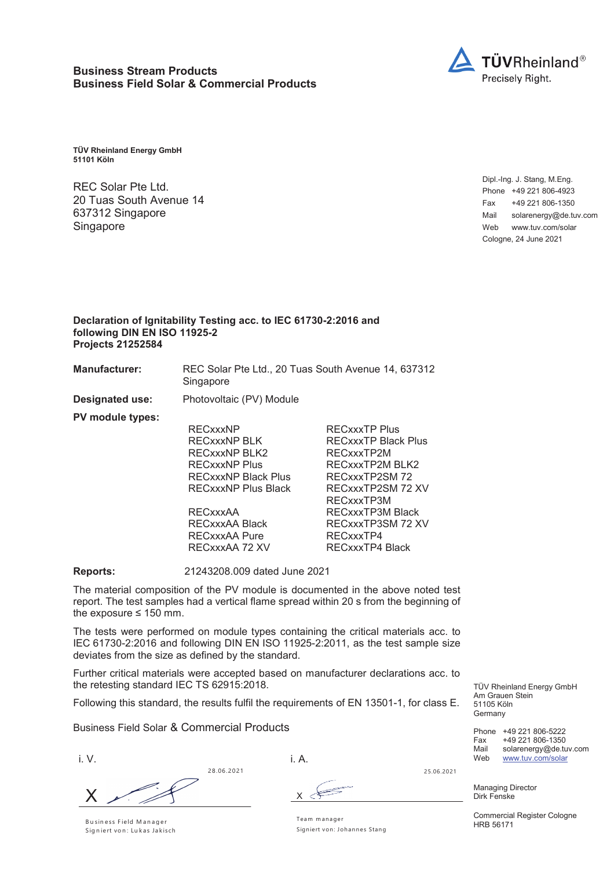

**TÜV Rheinland Energy GmbH 51101 Köln**

REC Solar Pte Ltd. 20 Tuas South Avenue 14 637312 Singapore Singapore

Dipl.-Ing. J. Stang, M.Eng. Phone +49 221 806-4923 Fax +49 221 806-1350 Mail solarenergy@de.tuv.com Web www.tuv.com/solar Cologne, 24 June 2021

## **Declaration of Ignitability Testing acc. to IEC 61730-2:2016 and following DIN EN ISO 11925-2 Projects 21252584**

**Manufacturer:** REC Solar Pte Ltd., 20 Tuas South Avenue 14, 637312 Singapore

**Designated use:** Photovoltaic (PV) Module

**PV module types:** RECxxxNP RECxxxTP Plus RECxxxNP BLK RECxxxTP Black Plus RECxxxNP BLK2 RECxxxTP2M RECxxxNP Plus RECxxxTP2M BLK2 RECxxxNP Black Plus RECxxxTP2SM 72 RECxxxNP Plus Black RECxxxTP2SM 72 XV RECxxxTP3M RECxxxAA RECxxxTP3M Black RECxxxAA Black RECxxxTP3SM 72 XV RECxxxAA Pure RECxxxTP4<br>RECxxxAA 72 XV RECxxxTP4

**Reports:** 21243208.009 dated June 2021

The material composition of the PV module is documented in the above noted test report. The test samples had a vertical flame spread within 20 s from the beginning of the exposure  $\leq 150$  mm.

The tests were performed on module types containing the critical materials acc. to IEC 61730-2:2016 and following DIN EN ISO 11925-2:2011, as the test sample size deviates from the size as defined by the standard.

Further critical materials were accepted based on manufacturer declarations acc. to the retesting standard IEC TS 62915:2018.

Following this standard, the results fulfil the requirements of EN 13501-1, for class E.

Business Field Solar & Commercial Products

i. V.

28.06.2021 X

i. A.



Managing Director Dirk Fenske

Commercial Register Cologne HRB 56171

TÜV Rheinland Energy GmbH

Phone +49 221 806-5222 Fax +49 221 806-1350<br>
Mail solarenergy@de.tu

solarenergy@de.tuv.com

Am Grauen Stein 51105 Köln Germany

B u sin e ss F ie ld M a n a g e r Signiert von: Lukas Jakisch Team m anager Signiert von: Johannes Stang

RECxxxTP4 Black

25.06.2021 Web www.tuv.com/solar